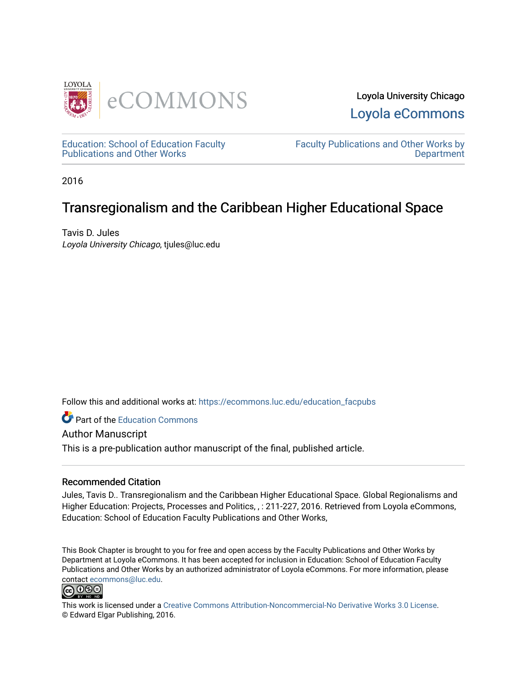



[Education: School of Education Faculty](https://ecommons.luc.edu/education_facpubs)  [Publications and Other Works](https://ecommons.luc.edu/education_facpubs) 

[Faculty Publications and Other Works by](https://ecommons.luc.edu/faculty)  **Department** 

2016

# Transregionalism and the Caribbean Higher Educational Space

Tavis D. Jules Loyola University Chicago, tjules@luc.edu

Follow this and additional works at: [https://ecommons.luc.edu/education\\_facpubs](https://ecommons.luc.edu/education_facpubs?utm_source=ecommons.luc.edu%2Feducation_facpubs%2F145&utm_medium=PDF&utm_campaign=PDFCoverPages) 

**Part of the [Education Commons](http://network.bepress.com/hgg/discipline/784?utm_source=ecommons.luc.edu%2Feducation_facpubs%2F145&utm_medium=PDF&utm_campaign=PDFCoverPages)** 

Author Manuscript

This is a pre-publication author manuscript of the final, published article.

# Recommended Citation

Jules, Tavis D.. Transregionalism and the Caribbean Higher Educational Space. Global Regionalisms and Higher Education: Projects, Processes and Politics, , : 211-227, 2016. Retrieved from Loyola eCommons, Education: School of Education Faculty Publications and Other Works,

This Book Chapter is brought to you for free and open access by the Faculty Publications and Other Works by Department at Loyola eCommons. It has been accepted for inclusion in Education: School of Education Faculty Publications and Other Works by an authorized administrator of Loyola eCommons. For more information, please contact [ecommons@luc.edu.](mailto:ecommons@luc.edu)



This work is licensed under a [Creative Commons Attribution-Noncommercial-No Derivative Works 3.0 License.](https://creativecommons.org/licenses/by-nc-nd/3.0/) © Edward Elgar Publishing, 2016.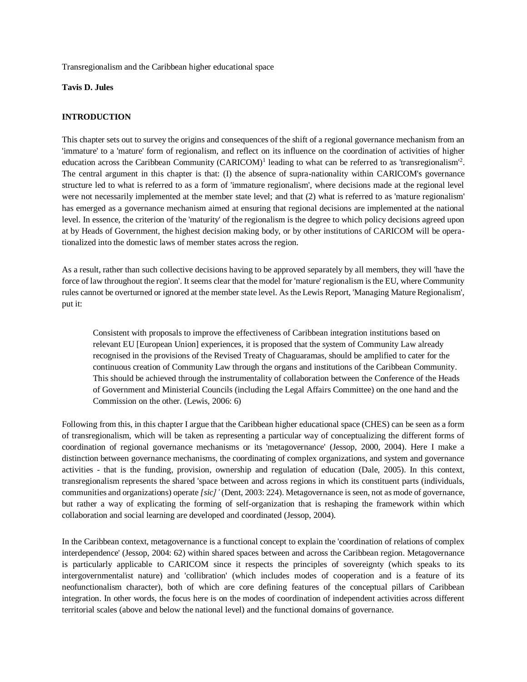Transregionalism and the Caribbean higher educational space

#### **Tavis D. Jules**

#### **INTRODUCTION**

This chapter sets out to survey the origins and consequences of the shift of a regional governance mechanism from an 'immature' to a 'mature' form of regionalism, and reflect on its influence on the coordination of activities of higher education across the Caribbean Community (CARICOM)<sup>1</sup> leading to what can be referred to as 'transregionalism'<sup>2</sup>. The central argument in this chapter is that: (I) the absence of supra-nationality within CARICOM's governance structure led to what is referred to as a form of 'immature regionalism', where decisions made at the regional level were not necessarily implemented at the member state level; and that (2) what is referred to as 'mature regionalism' has emerged as a governance mechanism aimed at ensuring that regional decisions are implemented at the national level. In essence, the criterion of the 'maturity' of the regionalism is the degree to which policy decisions agreed upon at by Heads of Government, the highest decision making body, or by other institutions of CARICOM will be operationalized into the domestic laws of member states across the region.

As a result, rather than such collective decisions having to be approved separately by all members, they will 'have the force of law throughout the region'. It seems clear that the model for 'mature' regionalism is the EU, where Community rules cannot be overturned or ignored at the member state level. As the Lewis Report, 'Managing Mature Regionalism', put it:

Consistent with proposals to improve the effectiveness of Caribbean integration institutions based on relevant EU [European Union] experiences, it is proposed that the system of Community Law already recognised in the provisions of the Revised Treaty of Chaguaramas, should be amplified to cater for the continuous creation of Community Law through the organs and institutions of the Caribbean Community. This should be achieved through the instrumentality of collaboration between the Conference of the Heads of Government and Ministerial Councils (including the Legal Affairs Committee) on the one hand and the Commission on the other. (Lewis, 2006: 6)

Following from this, in this chapter I argue that the Caribbean higher educational space (CHES) can be seen as a form of transregionalism, which will be taken as representing a particular way of conceptualizing the different forms of coordination of regional governance mechanisms or its 'metagovernance' (Jessop, 2000, 2004). Here I make a distinction between governance mechanisms, the coordinating of complex organizations, and system and governance activities - that is the funding, provision, ownership and regulation of education (Dale, 2005). In this context, transregionalism represents the shared 'space between and across regions in which its constituent parts (individuals, communities and organizations) operate *[sic]'* (Dent, 2003: 224). Metagovernance is seen, not as mode of governance, but rather a way of explicating the forming of self-organization that is reshaping the framework within which collaboration and social learning are developed and coordinated (Jessop, 2004).

In the Caribbean context, metagovernance is a functional concept to explain the 'coordination of relations of complex interdependence' (Jessop, 2004: 62) within shared spaces between and across the Caribbean region. Metagovernance is particularly applicable to CARICOM since it respects the principles of sovereignty (which speaks to its intergovernmentalist nature) and 'collibration' (which includes modes of cooperation and is a feature of its neofunctionalism character), both of which are core defining features of the conceptual pillars of Caribbean integration. In other words, the focus here is on the modes of coordination of independent activities across different territorial scales (above and below the national level) and the functional domains of governance.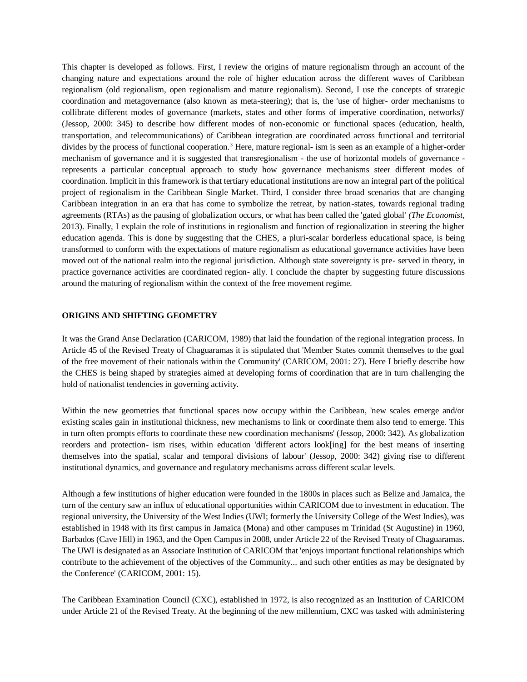This chapter is developed as follows. First, I review the origins of mature regionalism through an account of the changing nature and expectations around the role of higher education across the different waves of Caribbean regionalism (old regionalism, open regionalism and mature regionalism). Second, I use the concepts of strategic coordination and metagovernance (also known as meta-steering); that is, the 'use of higher- order mechanisms to collibrate different modes of governance (markets, states and other forms of imperative coordination, networks)' (Jessop, 2000: 345) to describe how different modes of non-economic or functional spaces (education, health, transportation, and telecommunications) of Caribbean integration are coordinated across functional and territorial divides by the process of functional cooperation.<sup>3</sup> Here, mature regional- ism is seen as an example of a higher-order mechanism of governance and it is suggested that transregionalism - the use of horizontal models of governance represents a particular conceptual approach to study how governance mechanisms steer different modes of coordination. Implicit in this framework is that tertiary educational institutions are now an integral part of the political project of regionalism in the Caribbean Single Market. Third, I consider three broad scenarios that are changing Caribbean integration in an era that has come to symbolize the retreat, by nation-states, towards regional trading agreements (RTAs) as the pausing of globalization occurs, or what has been called the 'gated global' *(The Economist,*  2013). Finally, I explain the role of institutions in regionalism and function of regionalization in steering the higher education agenda. This is done by suggesting that the CHES, a pluri-scalar borderless educational space, is being transformed to conform with the expectations of mature regionalism as educational governance activities have been moved out of the national realm into the regional jurisdiction. Although state sovereignty is pre- served in theory, in practice governance activities are coordinated region- ally. I conclude the chapter by suggesting future discussions around the maturing of regionalism within the context of the free movement regime.

#### **ORIGINS AND SHIFTING GEOMETRY**

It was the Grand Anse Declaration (CARICOM, 1989) that laid the foundation of the regional integration process. In Article 45 of the Revised Treaty of Chaguaramas it is stipulated that 'Member States commit themselves to the goal of the free movement of their nationals within the Community' (CARICOM, 2001: 27). Here I briefly describe how the CHES is being shaped by strategies aimed at developing forms of coordination that are in turn challenging the hold of nationalist tendencies in governing activity.

Within the new geometries that functional spaces now occupy within the Caribbean, 'new scales emerge and/or existing scales gain in institutional thickness, new mechanisms to link or coordinate them also tend to emerge. This in turn often prompts efforts to coordinate these new coordination mechanisms' (Jessop, 2000: 342). As globalization reorders and protection- ism rises, within education 'different actors look[ing] for the best means of inserting themselves into the spatial, scalar and temporal divisions of labour' (Jessop, 2000: 342) giving rise to different institutional dynamics, and governance and regulatory mechanisms across different scalar levels.

Although a few institutions of higher education were founded in the 1800s in places such as Belize and Jamaica, the turn of the century saw an influx of educational opportunities within CARICOM due to investment in education. The regional university, the University of the West Indies (UWI; formerly the University College of the West Indies), was established in 1948 with its first campus in Jamaica (Mona) and other campuses m Trinidad (St Augustine) in 1960, Barbados (Cave Hill) in 1963, and the Open Campus in 2008, under Article 22 of the Revised Treaty of Chaguaramas. The UWI is designated as an Associate Institution of CARICOM that 'enjoys important functional relationships which contribute to the achievement of the objectives of the Community... and such other entities as may be designated by the Conference' (CARICOM, 2001: 15).

The Caribbean Examination Council (CXC), established in 1972, is also recognized as an Institution of CARICOM under Article 21 of the Revised Treaty. At the beginning of the new millennium, CXC was tasked with administering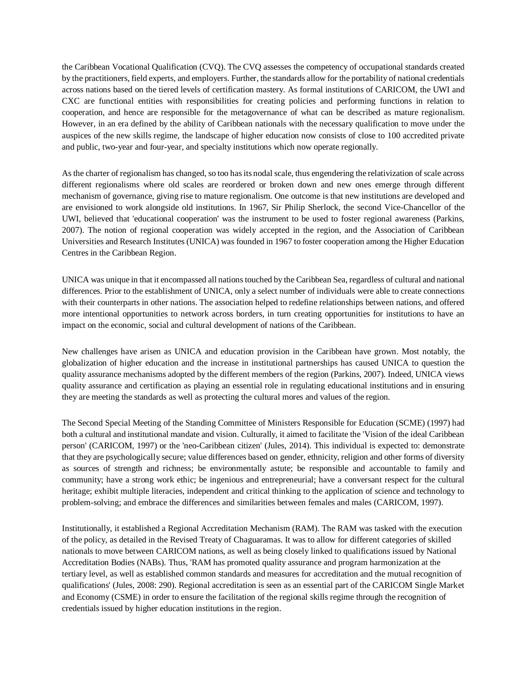the Caribbean Vocational Qualification (CVQ). The CVQ assesses the competency of occupational standards created by the practitioners, field experts, and employers. Further, the standards allow for the portability of national credentials across nations based on the tiered levels of certification mastery. As formal institutions of CARICOM, the UWI and CXC are functional entities with responsibilities for creating policies and performing functions in relation to cooperation, and hence are responsible for the metagovernance of what can be described as mature regionalism. However, in an era defined by the ability of Caribbean nationals with the necessary qualification to move under the auspices of the new skills regime, the landscape of higher education now consists of close to 100 accredited private and public, two-year and four-year, and specialty institutions which now operate regionally.

As the charter of regionalism has changed, so too has its nodal scale, thus engendering the relativization of scale across different regionalisms where old scales are reordered or broken down and new ones emerge through different mechanism of governance, giving rise to mature regionalism. One outcome is that new institutions are developed and are envisioned to work alongside old institutions. In 1967, Sir Philip Sherlock, the second Vice-Chancellor of the UWI, believed that 'educational cooperation' was the instrument to be used to foster regional awareness (Parkins, 2007). The notion of regional cooperation was widely accepted in the region, and the Association of Caribbean Universities and Research Institutes (UNICA) was founded in 1967 to foster cooperation among the Higher Education Centres in the Caribbean Region.

UNICA was unique in that it encompassed all nations touched by the Caribbean Sea, regardless of cultural and national differences. Prior to the establishment of UNICA, only a select number of individuals were able to create connections with their counterparts in other nations. The association helped to redefine relationships between nations, and offered more intentional opportunities to network across borders, in turn creating opportunities for institutions to have an impact on the economic, social and cultural development of nations of the Caribbean.

New challenges have arisen as UNICA and education provision in the Caribbean have grown. Most notably, the globalization of higher education and the increase in institutional partnerships has caused UNICA to question the quality assurance mechanisms adopted by the different members of the region (Parkins, 2007). Indeed, UNICA views quality assurance and certification as playing an essential role in regulating educational institutions and in ensuring they are meeting the standards as well as protecting the cultural mores and values of the region.

The Second Special Meeting of the Standing Committee of Ministers Responsible for Education (SCME) (1997) had both a cultural and institutional mandate and vision. Culturally, it aimed to facilitate the 'Vision of the ideal Caribbean person' (CARICOM, 1997) or the 'neo-Caribbean citizen' (Jules, 2014). This individual is expected to: demonstrate that they are psychologically secure; value differences based on gender, ethnicity, religion and other forms of diversity as sources of strength and richness; be environmentally astute; be responsible and accountable to family and community; have a strong work ethic; be ingenious and entrepreneurial; have a conversant respect for the cultural heritage; exhibit multiple literacies, independent and critical thinking to the application of science and technology to problem-solving; and embrace the differences and similarities between females and males (CARICOM, 1997).

Institutionally, it established a Regional Accreditation Mechanism (RAM). The RAM was tasked with the execution of the policy, as detailed in the Revised Treaty of Chaguaramas. It was to allow for different categories of skilled nationals to move between CARICOM nations, as well as being closely linked to qualifications issued by National Accreditation Bodies (NABs). Thus, 'RAM has promoted quality assurance and program harmonization at the tertiary level, as well as established common standards and measures for accreditation and the mutual recognition of qualifications' (Jules, 2008: 290). Regional accreditation is seen as an essential part of the CARICOM Single Market and Economy (CSME) in order to ensure the facilitation of the regional skills regime through the recognition of credentials issued by higher education institutions in the region.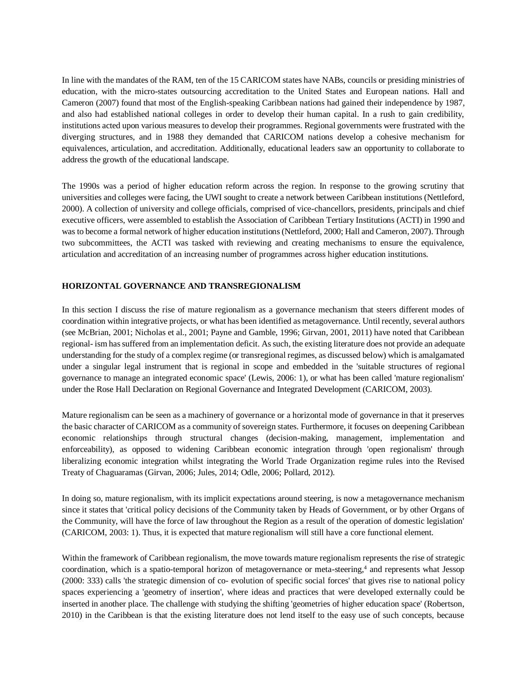In line with the mandates of the RAM, ten of the 15 CARICOM states have NABs, councils or presiding ministries of education, with the micro-states outsourcing accreditation to the United States and European nations. Hall and Cameron (2007) found that most of the English-speaking Caribbean nations had gained their independence by 1987, and also had established national colleges in order to develop their human capital. In a rush to gain credibility, institutions acted upon various measures to develop their programmes. Regional governments were frustrated with the diverging structures, and in 1988 they demanded that CARICOM nations develop a cohesive mechanism for equivalences, articulation, and accreditation. Additionally, educational leaders saw an opportunity to collaborate to address the growth of the educational landscape.

The 1990s was a period of higher education reform across the region. In response to the growing scrutiny that universities and colleges were facing, the UWI sought to create a network between Caribbean institutions (Nettleford, 2000). A collection of university and college officials, comprised of vice-chancellors, presidents, principals and chief executive officers, were assembled to establish the Association of Caribbean Tertiary Institutions (ACTI) in 1990 and was to become a formal network of higher education institutions (Nettleford, 2000; Hall and Cameron, 2007). Through two subcommittees, the ACTI was tasked with reviewing and creating mechanisms to ensure the equivalence, articulation and accreditation of an increasing number of programmes across higher education institutions.

## **HORIZONTAL GOVERNANCE AND TRANSREGIONALISM**

In this section I discuss the rise of mature regionalism as a governance mechanism that steers different modes of coordination within integrative projects, or what has been identified as metagovernance. Until recently, several authors (see McBrian, 2001; Nicholas et al., 2001; Payne and Gamble, 1996; Girvan, 2001, 2011) have noted that Caribbean regional- ism has suffered from an implementation deficit. As such, the existing literature does not provide an adequate understanding for the study of a complex regime (or transregional regimes, as discussed below) which is amalgamated under a singular legal instrument that is regional in scope and embedded in the 'suitable structures of regional governance to manage an integrated economic space' (Lewis, 2006: 1), or what has been called 'mature regionalism' under the Rose Hall Declaration on Regional Governance and Integrated Development (CARICOM, 2003).

Mature regionalism can be seen as a machinery of governance or a horizontal mode of governance in that it preserves the basic character of CARICOM as a community of sovereign states. Furthermore, it focuses on deepening Caribbean economic relationships through structural changes (decision-making, management, implementation and enforceability), as opposed to widening Caribbean economic integration through 'open regionalism' through liberalizing economic integration whilst integrating the World Trade Organization regime rules into the Revised Treaty of Chaguaramas (Girvan, 2006; Jules, 2014; Odle, 2006; Pollard, 2012).

In doing so, mature regionalism, with its implicit expectations around steering, is now a metagovernance mechanism since it states that 'critical policy decisions of the Community taken by Heads of Government, or by other Organs of the Community, will have the force of law throughout the Region as a result of the operation of domestic legislation' (CARICOM, 2003: 1). Thus, it is expected that mature regionalism will still have a core functional element.

Within the framework of Caribbean regionalism, the move towards mature regionalism represents the rise of strategic coordination, which is a spatio-temporal horizon of metagovernance or meta-steering,<sup>4</sup> and represents what Jessop (2000: 333) calls 'the strategic dimension of co- evolution of specific social forces' that gives rise to national policy spaces experiencing a 'geometry of insertion', where ideas and practices that were developed externally could be inserted in another place. The challenge with studying the shifting 'geometries of higher education space' (Robertson, 2010) in the Caribbean is that the existing literature does not lend itself to the easy use of such concepts, because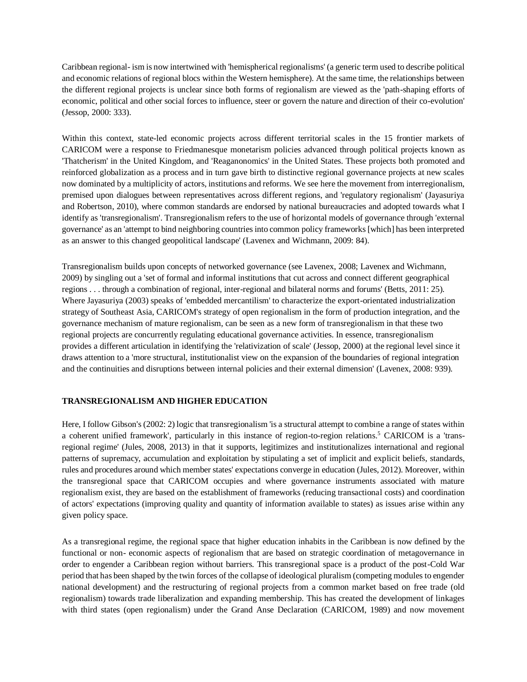Caribbean regional- ism is now intertwined with 'hemispherical regionalisms' (a generic term used to describe political and economic relations of regional blocs within the Western hemisphere). At the same time, the relationships between the different regional projects is unclear since both forms of regionalism are viewed as the 'path-shaping efforts of economic, political and other social forces to influence, steer or govern the nature and direction of their co-evolution' (Jessop, 2000: 333).

Within this context, state-led economic projects across different territorial scales in the 15 frontier markets of CARICOM were a response to Friedmanesque monetarism policies advanced through political projects known as 'Thatcherism' in the United Kingdom, and 'Reaganonomics' in the United States. These projects both promoted and reinforced globalization as a process and in turn gave birth to distinctive regional governance projects at new scales now dominated by a multiplicity of actors, institutions and reforms. We see here the movement from interregionalism, premised upon dialogues between representatives across different regions, and 'regulatory regionalism' (Jayasuriya and Robertson, 2010), where common standards are endorsed by national bureaucracies and adopted towards what I identify as 'transregionalism'. Transregionalism refers to the use of horizontal models of governance through 'external governance' as an 'attempt to bind neighboring countries into common policy frameworks [which] has been interpreted as an answer to this changed geopolitical landscape' (Lavenex and Wichmann, 2009: 84).

Transregionalism builds upon concepts of networked governance (see Lavenex, 2008; Lavenex and Wichmann, 2009) by singling out a 'set of formal and informal institutions that cut across and connect different geographical regions . . . through a combination of regional, inter-regional and bilateral norms and forums' (Betts, 2011: 25). Where Jayasuriya (2003) speaks of 'embedded mercantilism' to characterize the export-orientated industrialization strategy of Southeast Asia, CARICOM's strategy of open regionalism in the form of production integration, and the governance mechanism of mature regionalism, can be seen as a new form of transregionalism in that these two regional projects are concurrently regulating educational governance activities. In essence, transregionalism provides a different articulation in identifying the 'relativization of scale' (Jessop, 2000) at the regional level since it draws attention to a 'more structural, institutionalist view on the expansion of the boundaries of regional integration and the continuities and disruptions between internal policies and their external dimension' (Lavenex, 2008: 939).

## **TRANSREGIONALISM AND HIGHER EDUCATION**

Here, I follow Gibson's (2002: 2) logic that transregionalism 'is a structural attempt to combine a range of states within a coherent unified framework', particularly in this instance of region-to-region relations.<sup>5</sup> CARICOM is a 'transregional regime' (Jules, 2008, 2013) in that it supports, legitimizes and institutionalizes international and regional patterns of supremacy, accumulation and exploitation by stipulating a set of implicit and explicit beliefs, standards, rules and procedures around which member states' expectations converge in education (Jules, 2012). Moreover, within the transregional space that CARICOM occupies and where governance instruments associated with mature regionalism exist, they are based on the establishment of frameworks (reducing transactional costs) and coordination of actors' expectations (improving quality and quantity of information available to states) as issues arise within any given policy space.

As a transregional regime, the regional space that higher education inhabits in the Caribbean is now defined by the functional or non- economic aspects of regionalism that are based on strategic coordination of metagovernance in order to engender a Caribbean region without barriers. This transregional space is a product of the post-Cold War period that has been shaped by the twin forces of the collapse of ideological pluralism (competing modules to engender national development) and the restructuring of regional projects from a common market based on free trade (old regionalism) towards trade liberalization and expanding membership. This has created the development of linkages with third states (open regionalism) under the Grand Anse Declaration (CARICOM, 1989) and now movement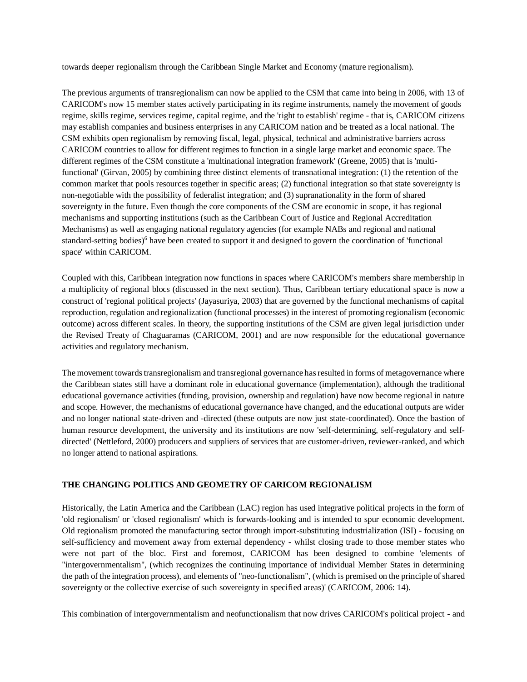towards deeper regionalism through the Caribbean Single Market and Economy (mature regionalism).

The previous arguments of transregionalism can now be applied to the CSM that came into being in 2006, with 13 of CARICOM's now 15 member states actively participating in its regime instruments, namely the movement of goods regime, skills regime, services regime, capital regime, and the 'right to establish' regime - that is, CARICOM citizens may establish companies and business enterprises in any CARICOM nation and be treated as a local national. The CSM exhibits open regionalism by removing fiscal, legal, physical, technical and administrative barriers across CARICOM countries to allow for different regimes to function in a single large market and economic space. The different regimes of the CSM constitute a 'multinational integration framework' (Greene, 2005) that is 'multifunctional' (Girvan, 2005) by combining three distinct elements of transnational integration: (1) the retention of the common market that pools resources together in specific areas; (2) functional integration so that state sovereignty is non-negotiable with the possibility of federalist integration; and (3) supranationality in the form of shared sovereignty in the future. Even though the core components of the CSM are economic in scope, it has regional mechanisms and supporting institutions (such as the Caribbean Court of Justice and Regional Accreditation Mechanisms) as well as engaging national regulatory agencies (for example NABs and regional and national standard-setting bodies)<sup>6</sup> have been created to support it and designed to govern the coordination of 'functional space' within CARICOM.

Coupled with this, Caribbean integration now functions in spaces where CARICOM's members share membership in a multiplicity of regional blocs (discussed in the next section). Thus, Caribbean tertiary educational space is now a construct of 'regional political projects' (Jayasuriya, 2003) that are governed by the functional mechanisms of capital reproduction, regulation and regionalization (functional processes) in the interest of promoting regionalism (economic outcome) across different scales. In theory, the supporting institutions of the CSM are given legal jurisdiction under the Revised Treaty of Chaguaramas (CARICOM, 2001) and are now responsible for the educational governance activities and regulatory mechanism.

The movement towards transregionalism and transregional governance has resulted in forms of metagovernance where the Caribbean states still have a dominant role in educational governance (implementation), although the traditional educational governance activities (funding, provision, ownership and regulation) have now become regional in nature and scope. However, the mechanisms of educational governance have changed, and the educational outputs are wider and no longer national state-driven and -directed (these outputs are now just state-coordinated). Once the bastion of human resource development, the university and its institutions are now 'self-determining, self-regulatory and selfdirected' (Nettleford, 2000) producers and suppliers of services that are customer-driven, reviewer-ranked, and which no longer attend to national aspirations.

## **THE CHANGING POLITICS AND GEOMETRY OF CARICOM REGIONALISM**

Historically, the Latin America and the Caribbean (LAC) region has used integrative political projects in the form of 'old regionalism' or 'closed regionalism' which is forwards-looking and is intended to spur economic development. Old regionalism promoted the manufacturing sector through import-substituting industrialization (ISI) - focusing on self-sufficiency and movement away from external dependency - whilst closing trade to those member states who were not part of the bloc. First and foremost, CARICOM has been designed to combine 'elements of "intergovernmentalism", (which recognizes the continuing importance of individual Member States in determining the path of the integration process), and elements of "neo-functionalism", (which is premised on the principle of shared sovereignty or the collective exercise of such sovereignty in specified areas)' (CARICOM, 2006: 14).

This combination of intergovernmentalism and neofunctionalism that now drives CARICOM's political project - and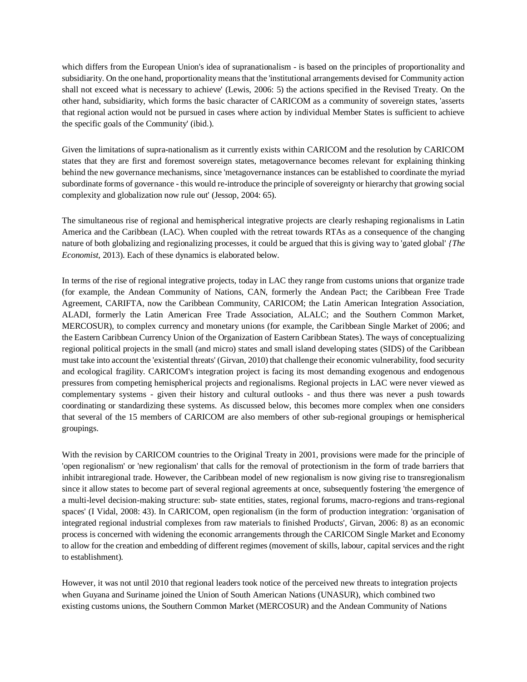which differs from the European Union's idea of supranationalism - is based on the principles of proportionality and subsidiarity. On the one hand, proportionality means that the 'institutional arrangements devised for Community action shall not exceed what is necessary to achieve' (Lewis, 2006: 5) the actions specified in the Revised Treaty. On the other hand, subsidiarity, which forms the basic character of CARICOM as a community of sovereign states, 'asserts that regional action would not be pursued in cases where action by individual Member States is sufficient to achieve the specific goals of the Community' (ibid.).

Given the limitations of supra-nationalism as it currently exists within CARICOM and the resolution by CARICOM states that they are first and foremost sovereign states, metagovernance becomes relevant for explaining thinking behind the new governance mechanisms, since 'metagovernance instances can be established to coordinate the myriad subordinate forms of governance - this would re-introduce the principle of sovereignty or hierarchy that growing social complexity and globalization now rule out' (Jessop, 2004: 65).

The simultaneous rise of regional and hemispherical integrative projects are clearly reshaping regionalisms in Latin America and the Caribbean (LAC). When coupled with the retreat towards RTAs as a consequence of the changing nature of both globalizing and regionalizing processes, it could be argued that this is giving way to 'gated global' *{The Economist,* 2013). Each of these dynamics is elaborated below.

In terms of the rise of regional integrative projects, today in LAC they range from customs unions that organize trade (for example, the Andean Community of Nations, CAN, formerly the Andean Pact; the Caribbean Free Trade Agreement, CARIFTA, now the Caribbean Community, CARICOM; the Latin American Integration Association, ALADI, formerly the Latin American Free Trade Association, ALALC; and the Southern Common Market, MERCOSUR), to complex currency and monetary unions (for example, the Caribbean Single Market of 2006; and the Eastern Caribbean Currency Union of the Organization of Eastern Caribbean States). The ways of conceptualizing regional political projects in the small (and micro) states and small island developing states (SIDS) of the Caribbean must take into account the 'existential threats' (Girvan, 2010) that challenge their economic vulnerability, food security and ecological fragility. CARICOM's integration project is facing its most demanding exogenous and endogenous pressures from competing hemispherical projects and regionalisms. Regional projects in LAC were never viewed as complementary systems - given their history and cultural outlooks - and thus there was never a push towards coordinating or standardizing these systems. As discussed below, this becomes more complex when one considers that several of the 15 members of CARICOM are also members of other sub-regional groupings or hemispherical groupings.

With the revision by CARICOM countries to the Original Treaty in 2001, provisions were made for the principle of 'open regionalism' or 'new regionalism' that calls for the removal of protectionism in the form of trade barriers that inhibit intraregional trade. However, the Caribbean model of new regionalism is now giving rise to transregionalism since it allow states to become part of several regional agreements at once, subsequently fostering 'the emergence of a multi-level decision-making structure: sub- state entities, states, regional forums, macro-regions and trans-regional spaces' (I Vidal, 2008: 43). In CARICOM, open regionalism (in the form of production integration: 'organisation of integrated regional industrial complexes from raw materials to finished Products', Girvan, 2006: 8) as an economic process is concerned with widening the economic arrangements through the CARICOM Single Market and Economy to allow for the creation and embedding of different regimes (movement of skills, labour, capital services and the right to establishment).

However, it was not until 2010 that regional leaders took notice of the perceived new threats to integration projects when Guyana and Suriname joined the Union of South American Nations (UNASUR), which combined two existing customs unions, the Southern Common Market (MERCOSUR) and the Andean Community of Nations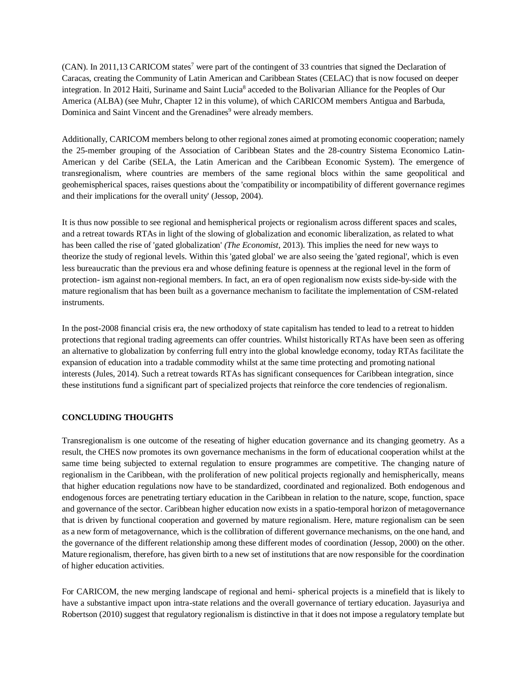(CAN). In 2011,13 CARICOM states<sup>7</sup> were part of the contingent of 33 countries that signed the Declaration of Caracas, creating the Community of Latin American and Caribbean States (CELAC) that is now focused on deeper integration. In 2012 Haiti, Suriname and Saint Lucia<sup>8</sup> acceded to the Bolivarian Alliance for the Peoples of Our America (ALBA) (see Muhr, Chapter 12 in this volume), of which CARICOM members Antigua and Barbuda, Dominica and Saint Vincent and the Grenadines<sup>9</sup> were already members.

Additionally, CARICOM members belong to other regional zones aimed at promoting economic cooperation; namely the 25-member grouping of the Association of Caribbean States and the 28-country Sistema Economico Latin-American y del Caribe (SELA, the Latin American and the Caribbean Economic System). The emergence of transregionalism, where countries are members of the same regional blocs within the same geopolitical and geohemispherical spaces, raises questions about the 'compatibility or incompatibility of different governance regimes and their implications for the overall unity' (Jessop, 2004).

It is thus now possible to see regional and hemispherical projects or regionalism across different spaces and scales, and a retreat towards RTAs in light of the slowing of globalization and economic liberalization, as related to what has been called the rise of 'gated globalization' *(The Economist,* 2013). This implies the need for new ways to theorize the study of regional levels. Within this 'gated global' we are also seeing the 'gated regional', which is even less bureaucratic than the previous era and whose defining feature is openness at the regional level in the form of protection- ism against non-regional members. In fact, an era of open regionalism now exists side-by-side with the mature regionalism that has been built as a governance mechanism to facilitate the implementation of CSM-related instruments.

In the post-2008 financial crisis era, the new orthodoxy of state capitalism has tended to lead to a retreat to hidden protections that regional trading agreements can offer countries. Whilst historically RTAs have been seen as offering an alternative to globalization by conferring full entry into the global knowledge economy, today RTAs facilitate the expansion of education into a tradable commodity whilst at the same time protecting and promoting national interests (Jules, 2014). Such a retreat towards RTAs has significant consequences for Caribbean integration, since these institutions fund a significant part of specialized projects that reinforce the core tendencies of regionalism.

## **CONCLUDING THOUGHTS**

Transregionalism is one outcome of the reseating of higher education governance and its changing geometry. As a result, the CHES now promotes its own governance mechanisms in the form of educational cooperation whilst at the same time being subjected to external regulation to ensure programmes are competitive. The changing nature of regionalism in the Caribbean, with the proliferation of new political projects regionally and hemispherically, means that higher education regulations now have to be standardized, coordinated and regionalized. Both endogenous and endogenous forces are penetrating tertiary education in the Caribbean in relation to the nature, scope, function, space and governance of the sector. Caribbean higher education now exists in a spatio-temporal horizon of metagovernance that is driven by functional cooperation and governed by mature regionalism. Here, mature regionalism can be seen as a new form of metagovernance, which is the collibration of different governance mechanisms, on the one hand, and the governance of the different relationship among these different modes of coordination (Jessop, 2000) on the other. Mature regionalism, therefore, has given birth to a new set of institutions that are now responsible for the coordination of higher education activities.

For CARICOM, the new merging landscape of regional and hemi- spherical projects is a minefield that is likely to have a substantive impact upon intra-state relations and the overall governance of tertiary education. Jayasuriya and Robertson (2010) suggest that regulatory regionalism is distinctive in that it does not impose a regulatory template but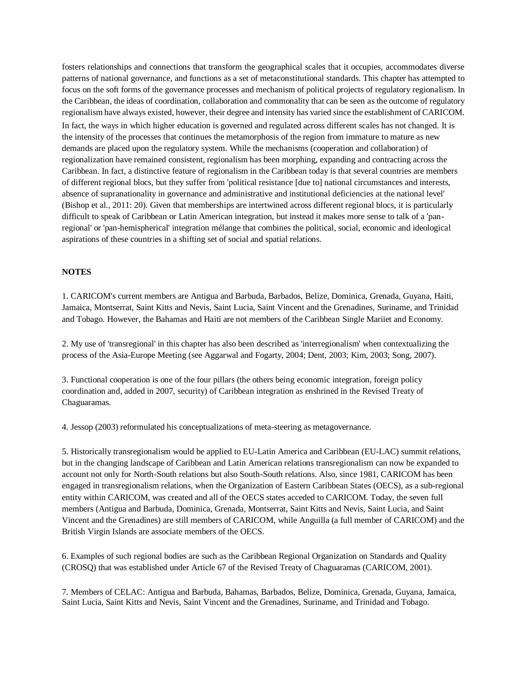fosters relationships and connections that transform the geographical scales that it occupies, accommodates diverse patterns of national governance, and functions as a set of metaconstitutional standards. This chapter has attempted to focus on the soft forms of the governance processes and mechanism of political projects of regulatory regionalism. In the Caribbean, the ideas of coordination, collaboration and commonality that can be seen as the outcome of regulatory regionalism have always existed, however, their degree and intensity has varied since the establishment of CARICOM. In fact, the ways in which higher education is governed and regulated across different scales has not changed. It is the intensity of the processes that continues the metamorphosis of the region from immature to mature as new demands are placed upon the regulatory system. While the mechanisms (cooperation and collaboration) of regionalization have remained consistent, regionalism has been morphing, expanding and contracting across the Caribbean. In fact, a distinctive feature of regionalism in the Caribbean today is that several countries are members of different regional blocs, but they suffer from 'political resistance [due to] national circumstances and interests, absence of supranationality in governance and administrative and institutional deficiencies at the national level' (Bishop et al., 2011: 20). Given that memberships are intertwined across different regional blocs, it is particularly difficult to speak of Caribbean or Latin American integration, but instead it makes more sense to talk of a 'panregional' or 'pan-hemispherical' integration mélange that combines the political, social, economic and ideological aspirations of these countries in a shifting set of social and spatial relations.

## **NOTES**

1. CARICOM's current members are Antigua and Barbuda, Barbados, Belize, Dominica, Grenada, Guyana, Haiti, Jamaica, Montserrat, Saint Kitts and Nevis, Saint Lucia, Saint Vincent and the Grenadines, Suriname, and Trinidad and Tobago. However, the Bahamas and Haiti are not members of the Caribbean Single Mariiet and Economy.

2. My use of 'transregional' in this chapter has also been described as 'interregionalism' when contextualizing the process of the Asia-Europe Meeting (see Aggarwal and Fogarty, 2004; Dent, 2003; Kim, 2003; Song, 2007).

3. Functional cooperation is one of the four pillars (the others being economic integration, foreign policy coordination and, added in 2007, security) of Caribbean integration as enshrined in the Revised Treaty of Chaguaramas.

4. Jessop (2003) reformulated his conceptualizations of meta-steering as metagovernance.

5. Historically transregionalism would be applied to EU-Latin America and Caribbean (EU-LAC) summit relations, but in the changing landscape of Caribbean and Latin American relations transregionalism can now be expanded to account not only for North-South relations but also South-South relations. Also, since 1981, CARICOM has been engaged in transregionalism relations, when the Organization of Eastern Caribbean States (OECS), as a sub-regional entity within CARICOM, was created and all of the OECS states acceded to CARICOM. Today, the seven full members (Antigua and Barbuda, Dominica, Grenada, Montserrat, Saint Kitts and Nevis, Saint Lucia, and Saint Vincent and the Grenadines) are still members of CARICOM, while Anguilla (a full member of CARICOM) and the British Virgin Islands are associate members of the OECS.

6. Examples of such regional bodies are such as the Caribbean Regional Organization on Standards and Quality (CROSQ) that was established under Article 67 of the Revised Treaty of Chaguaramas (CARICOM, 2001).

7. Members of CELAC: Antigua and Barbuda, Bahamas, Barbados, Belize, Dominica, Grenada, Guyana, Jamaica, Saint Lucia, Saint Kitts and Nevis, Saint Vincent and the Grenadines, Suriname, and Trinidad and Tobago.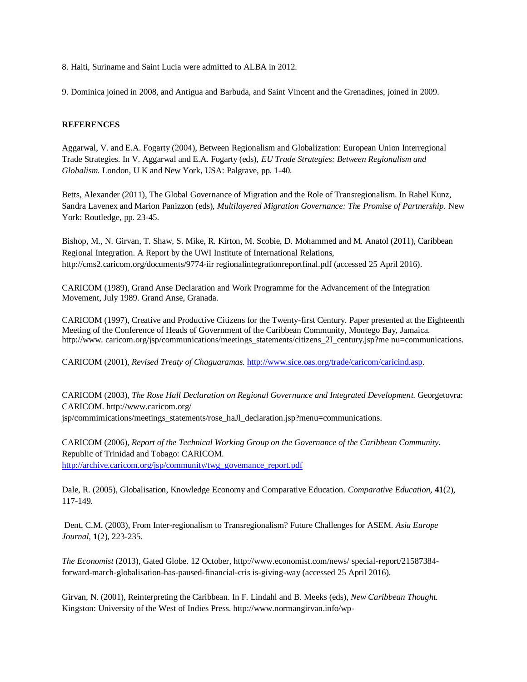8. Haiti, Suriname and Saint Lucia were admitted to ALBA in 2012.

9. Dominica joined in 2008, and Antigua and Barbuda, and Saint Vincent and the Grenadines, joined in 2009.

#### **REFERENCES**

Aggarwal, V. and E.A. Fogarty (2004), Between Regionalism and Globalization: European Union Interregional Trade Strategies. In V. Aggarwal and E.A. Fogarty (eds), *EU Trade Strategies: Between Regionalism and Globalism.* London, U K and New York, USA: Palgrave, pp. 1-40.

Betts, Alexander (2011), The Global Governance of Migration and the Role of Transregionalism. In Rahel Kunz, Sandra Lavenex and Marion Panizzon (eds), *Multilayered Migration Governance: The Promise of Partnership.* New York: Routledge, pp. 23-45.

Bishop, M., N. Girvan, T. Shaw, S. Mike, R. Kirton, M. Scobie, D. Mohammed and M. Anatol (2011), Caribbean Regional Integration. A Report by the UWI Institute of International Relations, http://cms2.caricom.org/documents/9774-iir regionalintegrationreportfinal.pdf (accessed 25 April 2016).

CARICOM (1989), Grand Anse Declaration and Work Programme for the Advancement of the Integration Movement, July 1989. Grand Anse, Granada.

CARICOM (1997), Creative and Productive Citizens for the Twenty-first Century. Paper presented at the Eighteenth Meeting of the Conference of Heads of Government of the Caribbean Community, Montego Bay, Jamaica. http://www. caricom.org/jsp/communications/meetings\_statements/citizens\_2I\_century.jsp?me nu=communications.

CARICOM (2001), *Revised Treaty of Chaguaramas.* [http://www.sice.oas.org/trade/caricom/caricind.asp.](http://www.sice.oas.org/trade/caricom/caricind.asp)

CARICOM (2003), *The Rose Hall Declaration on Regional Governance and Integrated Development.* Georgetovra: CARICOM. http://www.caricom.org/ jsp/commimications/meetings\_statements/rose\_haJl\_declaration.jsp?menu=communications.

CARICOM (2006), *Report of the Technical Working Group on the Governance of the Caribbean Community.*  Republic of Trinidad and Tobago: CARICOM. [http://archive.caricom.org/jsp/community/twg\\_govemance\\_report.pdf](http://archive.caricom.org/jsp/community/twg_govemance_report.pdf)

Dale, R. (2005), Globalisation, Knowledge Economy and Comparative Education. *Comparative Education,* **41**(2), 117-149.

Dent, C.M. (2003), From Inter-regionalism to Transregionalism? Future Challenges for ASEM. *Asia Europe Journal,* **1**(2), 223-235.

*The Economist* (2013), Gated Globe. 12 October, http://www.economist.com/news/ special-report/21587384 forward-march-globalisation-has-paused-financial-cris is-giving-way (accessed 25 April 2016).

Girvan, N. (2001), Reinterpreting the Caribbean. In F. Lindahl and B. Meeks (eds), *New Caribbean Thought.*  Kingston: University of the West of Indies Press. http://www.normangirvan.info/wp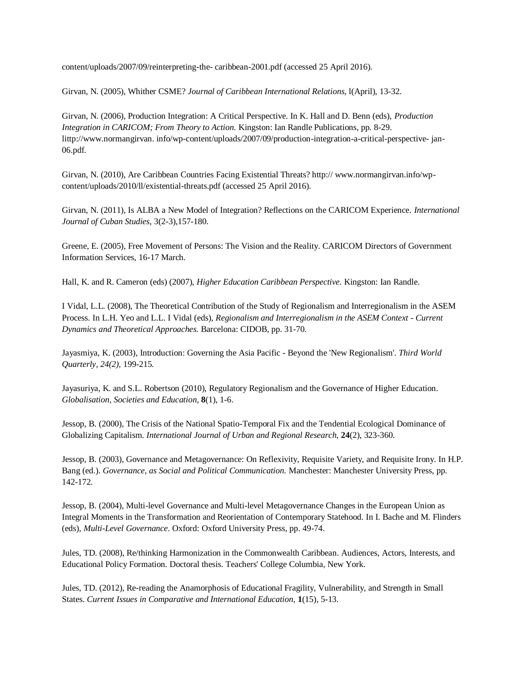content/uploads/2007/09/reinterpreting-the- caribbean-2001.pdf (accessed 25 April 2016).

Girvan, N. (2005), Whither CSME? *Journal of Caribbean International Relations,* l(April), 13-32.

Girvan, N. (2006), Production Integration: A Critical Perspective. In K. Hall and D. Benn (eds), *Production Integration in CARICOM; From Theory to Action.* Kingston: Ian Randle Publications, pp. 8-29. littp://www.normangirvan. info/wp-content/uploads/2007/09/production-integration-a-critical-perspective- jan-06.pdf.

Girvan, N. (2010), Are Caribbean Countries Facing Existential Threats? http:// www.normangirvan.info/wpcontent/uploads/2010/ll/existential-threats.pdf (accessed 25 April 2016).

Girvan, N. (2011), Is ALBA a New Model of Integration? Reflections on the CARICOM Experience. *International Journal of Cuban Studies,* 3(2-3),157-180.

Greene, E. (2005), Free Movement of Persons: The Vision and the Reality. CARICOM Directors of Government Information Services, 16-17 March.

Hall, K. and R. Cameron (eds) (2007), *Higher Education Caribbean Perspective.* Kingston: Ian Randle.

I Vidal, L.L. (2008), The Theoretical Contribution of the Study of Regionalism and Interregionalism in the ASEM Process. In L.H. Yeo and L.L. I Vidal (eds), *Regionalism and Interregionalism in the ASEM Context - Current Dynamics and Theoretical Approaches.* Barcelona: CIDOB, pp. 31-70.

Jayasmiya, K. (2003), Introduction: Governing the Asia Pacific - Beyond the 'New Regionalism'. *Third World Quarterly, 24(2),* 199-215.

Jayasuriya, K. and S.L. Robertson (2010), Regulatory Regionalism and the Governance of Higher Education. *Globalisation, Societies and Education,* **8**(1), 1-6.

Jessop, B. (2000), The Crisis of the National Spatio-Temporal Fix and the Tendential Ecological Dominance of Globalizing Capitalism. *International Journal of Urban and Regional Research,* **24**(2), 323-360.

Jessop, B. (2003), Governance and Metagovernance: On Reflexivity, Requisite Variety, and Requisite Irony. In H.P. Bang (ed.). *Governance, as Social and Political Communication.* Manchester: Manchester University Press, pp. 142-172.

Jessop, B. (2004), Multi-level Governance and Multi-level Metagovernance Changes in the European Union as Integral Moments in the Transformation and Reorientation of Contemporary Statehood. In I. Bache and M. Flinders (eds), *Multi-Level Governance.* Oxford: Oxford University Press, pp. 49-74.

Jules, TD. (2008), Re/thinking Harmonization in the Commonwealth Caribbean. Audiences, Actors, Interests, and Educational Policy Formation. Doctoral thesis. Teachers' College Columbia, New York.

Jules, TD. (2012), Re-reading the Anamorphosis of Educational Fragility, Vulnerability, and Strength in Small States. *Current Issues in Comparative and International Education,* **1**(15), 5-13.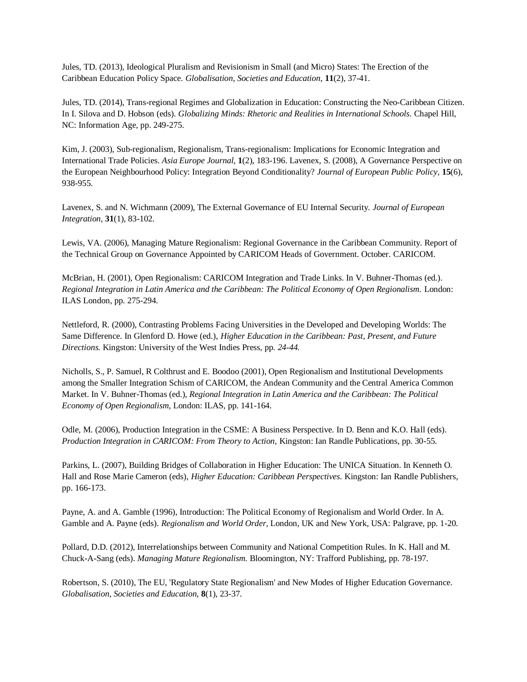Jules, TD. (2013), Ideological Pluralism and Revisionism in Small (and Micro) States: The Erection of the Caribbean Education Policy Space. *Globalisation, Societies and Education,* **11**(2), 37-41.

Jules, TD. (2014), Trans-regional Regimes and Globalization in Education: Constructing the Neo-Caribbean Citizen. In I. Silova and D. Hobson (eds). *Globalizing Minds: Rhetoric and Realities in International Schools.* Chapel Hill, NC: Information Age, pp. 249-275.

Kim, J. (2003), Sub-regionalism, Regionalism, Trans-regionalism: Implications for Economic Integration and International Trade Policies. *Asia Europe Journal,* **1**(2), 183-196. Lavenex, S. (2008), A Governance Perspective on the European Neighbourhood Policy: Integration Beyond Conditionality? *Journal of European Public Policy,* **15**(6), 938-955.

Lavenex, S. and N. Wichmann (2009), The External Governance of EU Internal Security. *Journal of European Integration,* **31**(1), 83-102.

Lewis, VA. (2006), Managing Mature Regionalism: Regional Governance in the Caribbean Community. Report of the Technical Group on Governance Appointed by CARICOM Heads of Government. October. CARICOM.

McBrian, H. (2001), Open Regionalism: CARICOM Integration and Trade Links. In V. Buhner-Thomas (ed.). *Regional Integration in Latin America and the Caribbean: The Political Economy of Open Regionalism.* London: ILAS London, pp. 275-294.

Nettleford, R. (2000), Contrasting Problems Facing Universities in the Developed and Developing Worlds: The Same Difference. In Glenford D. Howe (ed.), *Higher Education in the Caribbean: Past, Present, and Future Directions.* Kingston: University of the West Indies Press, pp. *24-44.* 

Nicholls, S., P. Samuel, R Colthrust and E. Boodoo (2001), Open Regionalism and Institutional Developments among the Smaller Integration Schism of CARICOM, the Andean Community and the Central America Common Market. In V. Buhner-Thomas (ed.), *Regional Integration in Latin America and the Caribbean: The Political Economy of Open Regionalism,* London: ILAS, pp. 141-164.

Odle, M. (2006), Production Integration in the CSME: A Business Perspective. In D. Benn and K.O. Hall (eds). *Production Integration in CARICOM: From Theory to Action, Kingston: Ian Randle Publications, pp. 30-55.* 

Parkins, L. (2007), Building Bridges of Collaboration in Higher Education: The UNICA Situation. In Kenneth O. Hall and Rose Marie Cameron (eds), *Higher Education: Caribbean Perspectives.* Kingston: Ian Randle Publishers, pp. 166-173.

Payne, A. and A. Gamble (1996), Introduction: The Political Economy of Regionalism and World Order. In A. Gamble and A. Payne (eds). *Regionalism and World Order,* London, UK and New York, USA: Palgrave, pp. 1-20.

Pollard, D.D. (2012), Interrelationships between Community and National Competition Rules. In K. Hall and M. Chuck-A-Sang (eds). *Managing Mature Regionalism.* Bloomington, NY: Trafford Publishing, pp. 78-197.

Robertson, S. (2010), The EU, 'Regulatory State Regionalism' and New Modes of Higher Education Governance. *Globalisation, Societies and Education,* **8**(1), 23-37.